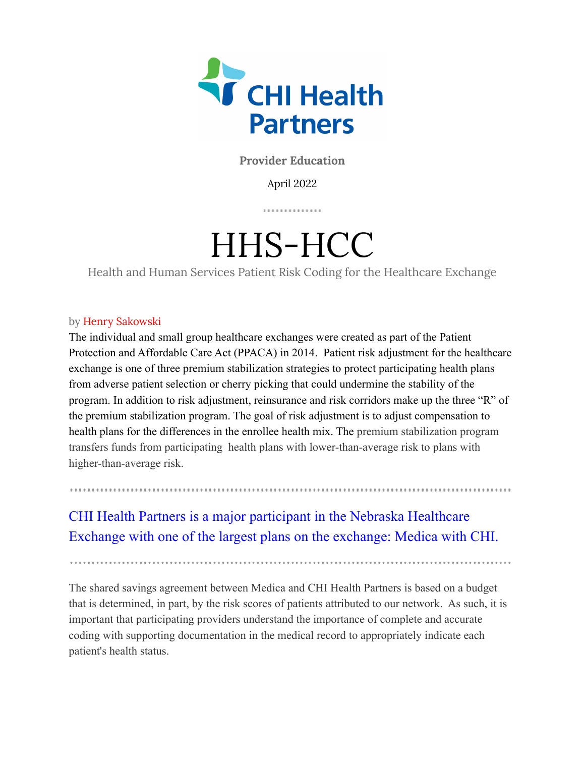

**Provider Education**

April 2022

. . . . . . . . . . . .

# HHS-HCC

Health and Human Services Patient Risk Coding for the Healthcare Exchange

## by Henry Sakowski

The individual and small group healthcare exchanges were created as part of the Patient Protection and Affordable Care Act (PPACA) in 2014. Patient risk adjustment for the healthcare exchange is one of three premium stabilization strategies to protect participating health plans from adverse patient selection or cherry picking that could undermine the stability of the program. In addition to risk adjustment, reinsurance and risk corridors make up the three "R" of the premium stabilization program. The goal of risk adjustment is to adjust compensation to health plans for the differences in the enrollee health mix. The premium stabilization program transfers funds from participating health plans with lower-than-average risk to plans with higher-than-average risk.

## CHI Health Partners is a major participant in the Nebraska Healthcare Exchange with one of the largest plans on the exchange: Medica with CHI.

The shared savings agreement between Medica and CHI Health Partners is based on a budget that is determined, in part, by the risk scores of patients attributed to our network. As such, it is important that participating providers understand the importance of complete and accurate coding with supporting documentation in the medical record to appropriately indicate each patient's health status.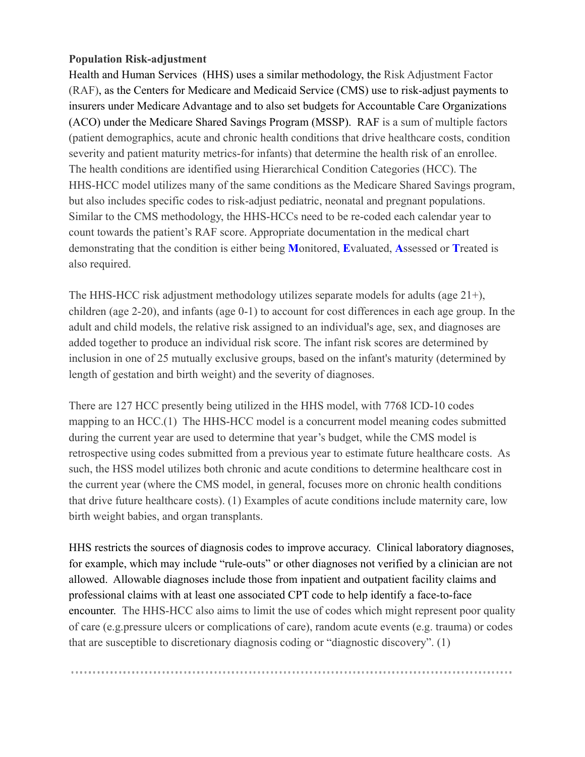## **Population Risk-adjustment**

Health and Human Services (HHS) uses a similar methodology, the Risk Adjustment Factor (RAF), as the Centers for Medicare and Medicaid Service (CMS) use to risk-adjust payments to insurers under Medicare Advantage and to also set budgets for Accountable Care Organizations (ACO) under the Medicare Shared Savings Program (MSSP). RAF is a sum of multiple factors (patient demographics, acute and chronic health conditions that drive healthcare costs, condition severity and patient maturity metrics-for infants) that determine the health risk of an enrollee. The health conditions are identified using Hierarchical Condition Categories (HCC). The HHS-HCC model utilizes many of the same conditions as the Medicare Shared Savings program, but also includes specific codes to risk-adjust pediatric, neonatal and pregnant populations. Similar to the CMS methodology, the HHS-HCCs need to be re-coded each calendar year to count towards the patient's RAF score. Appropriate documentation in the medical chart demonstrating that the condition is either being **M**onitored, **E**valuated, **A**ssessed or **T**reated is also required.

The HHS-HCC risk adjustment methodology utilizes separate models for adults (age 21+), children (age 2-20), and infants (age 0-1) to account for cost differences in each age group. In the adult and child models, the relative risk assigned to an individual's age, sex, and diagnoses are added together to produce an individual risk score. The infant risk scores are determined by inclusion in one of 25 mutually exclusive groups, based on the infant's maturity (determined by length of gestation and birth weight) and the severity of diagnoses.

There are 127 HCC presently being utilized in the HHS model, with 7768 ICD-10 codes mapping to an HCC.(1) The HHS-HCC model is a concurrent model meaning codes submitted during the current year are used to determine that year's budget, while the CMS model is retrospective using codes submitted from a previous year to estimate future healthcare costs. As such, the HSS model utilizes both chronic and acute conditions to determine healthcare cost in the current year (where the CMS model, in general, focuses more on chronic health conditions that drive future healthcare costs). (1) Examples of acute conditions include maternity care, low birth weight babies, and organ transplants.

HHS restricts the sources of diagnosis codes to improve accuracy. Clinical laboratory diagnoses, for example, which may include "rule-outs" or other diagnoses not verified by a clinician are not allowed. Allowable diagnoses include those from inpatient and outpatient facility claims and professional claims with at least one associated CPT code to help identify a face-to-face encounter. The HHS-HCC also aims to limit the use of codes which might represent poor quality of care (e.g.pressure ulcers or complications of care), random acute events (e.g. trauma) or codes that are susceptible to discretionary diagnosis coding or "diagnostic discovery". (1)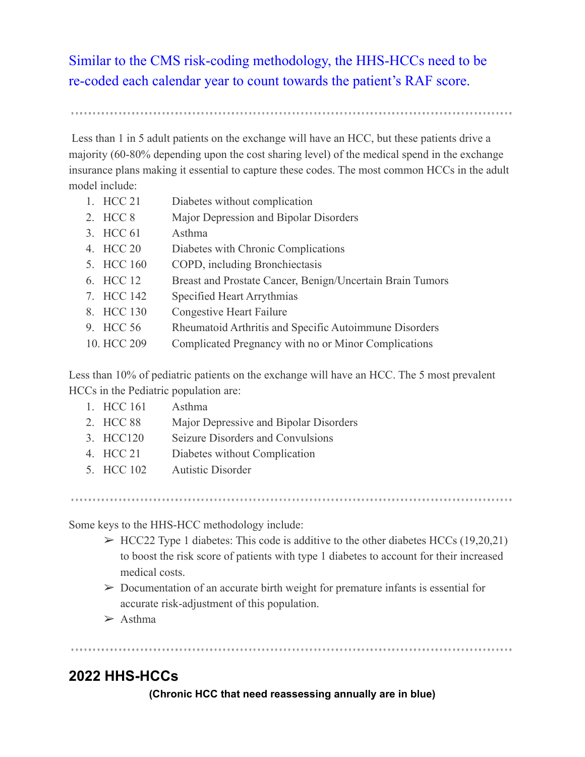Similar to the CMS risk-coding methodology, the HHS-HCCs need to be re-coded each calendar year to count towards the patient's RAF score.

Less than 1 in 5 adult patients on the exchange will have an HCC, but these patients drive a majority (60-80% depending upon the cost sharing level) of the medical spend in the exchange insurance plans making it essential to capture these codes. The most common HCCs in the adult model include:

| Diabetes without complication                                                                                                   |
|---------------------------------------------------------------------------------------------------------------------------------|
| Major Depression and Bipolar Disorders                                                                                          |
| Asthma                                                                                                                          |
| Diabetes with Chronic Complications                                                                                             |
| COPD, including Bronchiectasis                                                                                                  |
| Breast and Prostate Cancer, Benign/Uncertain Brain Tumors                                                                       |
| Specified Heart Arrythmias                                                                                                      |
| Congestive Heart Failure                                                                                                        |
| Rheumatoid Arthritis and Specific Autoimmune Disorders                                                                          |
| Complicated Pregnancy with no or Minor Complications                                                                            |
| 1. HCC 21<br>2. HCC 8<br>3. HCC 61<br>4. HCC 20<br>5. HCC 160<br>6. HCC 12<br>7. HCC 142<br>8. HCC 130<br>HCC 56<br>10. HCC 209 |

Less than 10% of pediatric patients on the exchange will have an HCC. The 5 most prevalent HCCs in the Pediatric population are:

- 1. HCC 161 Asthma
- 2. HCC 88 Major Depressive and Bipolar Disorders
- 3. HCC120 Seizure Disorders and Convulsions
- 4. HCC 21 Diabetes without Complication
- 5. HCC 102 Autistic Disorder

Some keys to the HHS-HCC methodology include:

 $\triangleright$  HCC22 Type 1 diabetes: This code is additive to the other diabetes HCCs (19,20,21) to boost the risk score of patients with type 1 diabetes to account for their increased medical costs.

- $\triangleright$  Documentation of an accurate birth weight for premature infants is essential for accurate risk-adjustment of this population.
- $\triangleright$  Asthma

## **2022 HHS-HCCs**

**(Chronic HCC that need reassessing annually are in blue)**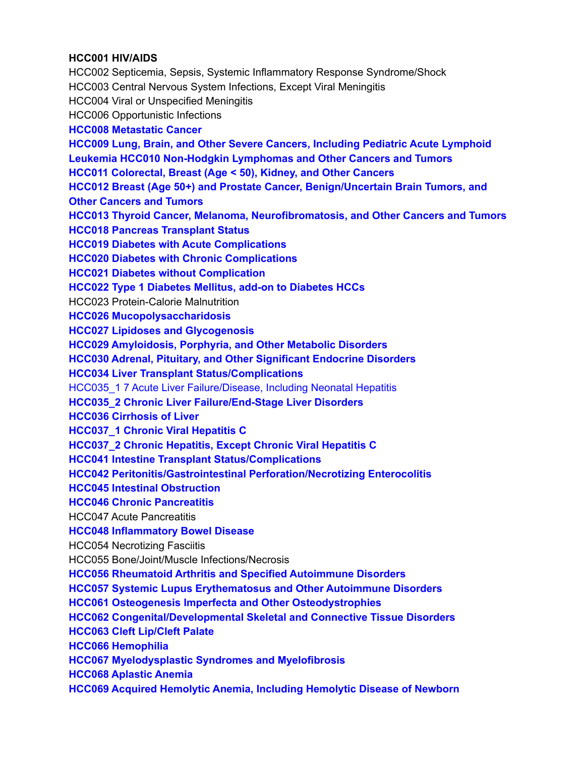## **HCC001 HIV/AIDS**

HCC002 Septicemia, Sepsis, Systemic Inflammatory Response Syndrome/Shock HCC003 Central Nervous System Infections, Except Viral Meningitis HCC004 Viral or Unspecified Meningitis HCC006 Opportunistic Infections **HCC008 Metastatic Cancer HCC009 Lung, Brain, and Other Severe Cancers, Including Pediatric Acute Lymphoid Leukemia HCC010 Non-Hodgkin Lymphomas and Other Cancers and Tumors HCC011 Colorectal, Breast (Age < 50), Kidney, and Other Cancers HCC012 Breast (Age 50+) and Prostate Cancer, Benign/Uncertain Brain Tumors, and Other Cancers and Tumors HCC013 Thyroid Cancer, Melanoma, Neurofibromatosis, and Other Cancers and Tumors HCC018 Pancreas Transplant Status HCC019 Diabetes with Acute Complications HCC020 Diabetes with Chronic Complications HCC021 Diabetes without Complication HCC022 Type 1 Diabetes Mellitus, add-on to Diabetes HCCs** HCC023 Protein-Calorie Malnutrition **HCC026 Mucopolysaccharidosis HCC027 Lipidoses and Glycogenosis HCC029 Amyloidosis, Porphyria, and Other Metabolic Disorders HCC030 Adrenal, Pituitary, and Other Significant Endocrine Disorders HCC034 Liver Transplant Status/Complications** HCC035\_1 7 Acute Liver Failure/Disease, Including Neonatal Hepatitis **HCC035\_2 Chronic Liver Failure/End-Stage Liver Disorders HCC036 Cirrhosis of Liver HCC037\_1 Chronic Viral Hepatitis C HCC037\_2 Chronic Hepatitis, Except Chronic Viral Hepatitis C HCC041 Intestine Transplant Status/Complications HCC042 Peritonitis/Gastrointestinal Perforation/Necrotizing Enterocolitis HCC045 Intestinal Obstruction HCC046 Chronic Pancreatitis** HCC047 Acute Pancreatitis **HCC048 Inflammatory Bowel Disease** HCC054 Necrotizing Fasciitis HCC055 Bone/Joint/Muscle Infections/Necrosis **HCC056 Rheumatoid Arthritis and Specified Autoimmune Disorders HCC057 Systemic Lupus Erythematosus and Other Autoimmune Disorders HCC061 Osteogenesis Imperfecta and Other Osteodystrophies HCC062 Congenital/Developmental Skeletal and Connective Tissue Disorders HCC063 Cleft Lip/Cleft Palate HCC066 Hemophilia HCC067 Myelodysplastic Syndromes and Myelofibrosis HCC068 Aplastic Anemia HCC069 Acquired Hemolytic Anemia, Including Hemolytic Disease of Newborn**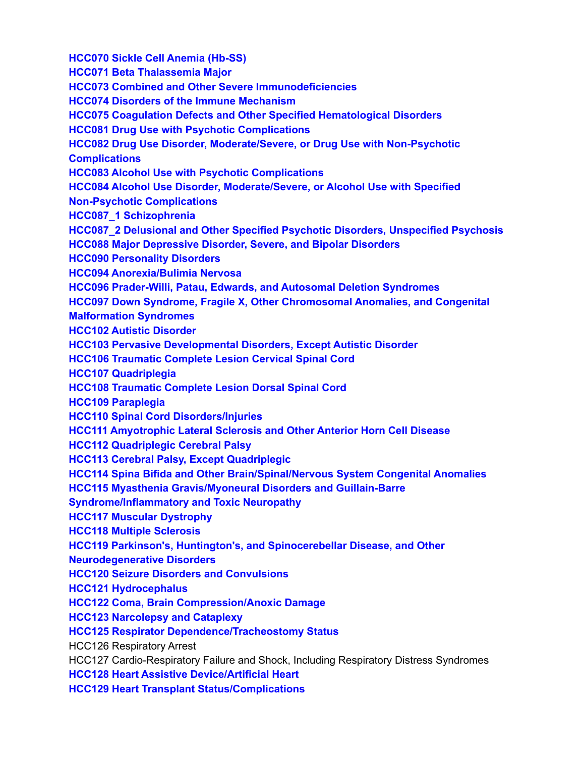**HCC070 Sickle Cell Anemia (Hb-SS) HCC071 Beta Thalassemia Major HCC073 Combined and Other Severe Immunodeficiencies HCC074 Disorders of the Immune Mechanism HCC075 Coagulation Defects and Other Specified Hematological Disorders HCC081 Drug Use with Psychotic Complications HCC082 Drug Use Disorder, Moderate/Severe, or Drug Use with Non-Psychotic Complications HCC083 Alcohol Use with Psychotic Complications HCC084 Alcohol Use Disorder, Moderate/Severe, or Alcohol Use with Specified Non-Psychotic Complications HCC087\_1 Schizophrenia HCC087\_2 Delusional and Other Specified Psychotic Disorders, Unspecified Psychosis HCC088 Major Depressive Disorder, Severe, and Bipolar Disorders HCC090 Personality Disorders HCC094 Anorexia/Bulimia Nervosa HCC096 Prader-Willi, Patau, Edwards, and Autosomal Deletion Syndromes HCC097 Down Syndrome, Fragile X, Other Chromosomal Anomalies, and Congenital Malformation Syndromes HCC102 Autistic Disorder HCC103 Pervasive Developmental Disorders, Except Autistic Disorder HCC106 Traumatic Complete Lesion Cervical Spinal Cord HCC107 Quadriplegia HCC108 Traumatic Complete Lesion Dorsal Spinal Cord HCC109 Paraplegia HCC110 Spinal Cord Disorders/Injuries HCC111 Amyotrophic Lateral Sclerosis and Other Anterior Horn Cell Disease HCC112 Quadriplegic Cerebral Palsy HCC113 Cerebral Palsy, Except Quadriplegic HCC114 Spina Bifida and Other Brain/Spinal/Nervous System Congenital Anomalies HCC115 Myasthenia Gravis/Myoneural Disorders and Guillain-Barre Syndrome/Inflammatory and Toxic Neuropathy HCC117 Muscular Dystrophy HCC118 Multiple Sclerosis HCC119 Parkinson's, Huntington's, and Spinocerebellar Disease, and Other Neurodegenerative Disorders HCC120 Seizure Disorders and Convulsions HCC121 Hydrocephalus HCC122 Coma, Brain Compression/Anoxic Damage HCC123 Narcolepsy and Cataplexy HCC125 Respirator Dependence/Tracheostomy Status** HCC126 Respiratory Arrest HCC127 Cardio-Respiratory Failure and Shock, Including Respiratory Distress Syndromes **HCC128 Heart Assistive Device/Artificial Heart**

**HCC129 Heart Transplant Status/Complications**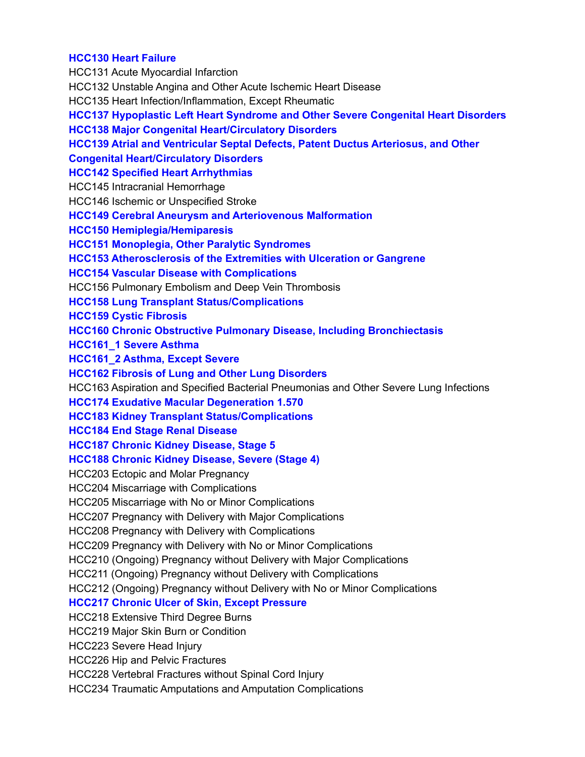#### **HCC130 Heart Failure**

HCC131 Acute Myocardial Infarction HCC132 Unstable Angina and Other Acute Ischemic Heart Disease HCC135 Heart Infection/Inflammation, Except Rheumatic **HCC137 Hypoplastic Left Heart Syndrome and Other Severe Congenital Heart Disorders HCC138 Major Congenital Heart/Circulatory Disorders HCC139 Atrial and Ventricular Septal Defects, Patent Ductus Arteriosus, and Other Congenital Heart/Circulatory Disorders HCC142 Specified Heart Arrhythmias** HCC145 Intracranial Hemorrhage HCC146 Ischemic or Unspecified Stroke **HCC149 Cerebral Aneurysm and Arteriovenous Malformation HCC150 Hemiplegia/Hemiparesis HCC151 Monoplegia, Other Paralytic Syndromes HCC153 Atherosclerosis of the Extremities with Ulceration or Gangrene HCC154 Vascular Disease with Complications** HCC156 Pulmonary Embolism and Deep Vein Thrombosis **HCC158 Lung Transplant Status/Complications HCC159 Cystic Fibrosis HCC160 Chronic Obstructive Pulmonary Disease, Including Bronchiectasis HCC161\_1 Severe Asthma HCC161\_2 Asthma, Except Severe HCC162 Fibrosis of Lung and Other Lung Disorders** HCC163 Aspiration and Specified Bacterial Pneumonias and Other Severe Lung Infections **HCC174 Exudative Macular Degeneration 1.570 HCC183 Kidney Transplant Status/Complications HCC184 End Stage Renal Disease HCC187 Chronic Kidney Disease, Stage 5 HCC188 Chronic Kidney Disease, Severe (Stage 4)** HCC203 Ectopic and Molar Pregnancy HCC204 Miscarriage with Complications HCC205 Miscarriage with No or Minor Complications HCC207 Pregnancy with Delivery with Major Complications HCC208 Pregnancy with Delivery with Complications HCC209 Pregnancy with Delivery with No or Minor Complications HCC210 (Ongoing) Pregnancy without Delivery with Major Complications HCC211 (Ongoing) Pregnancy without Delivery with Complications HCC212 (Ongoing) Pregnancy without Delivery with No or Minor Complications **HCC217 Chronic Ulcer of Skin, Except Pressure** HCC218 Extensive Third Degree Burns HCC219 Major Skin Burn or Condition HCC223 Severe Head Injury HCC226 Hip and Pelvic Fractures HCC228 Vertebral Fractures without Spinal Cord Injury HCC234 Traumatic Amputations and Amputation Complications